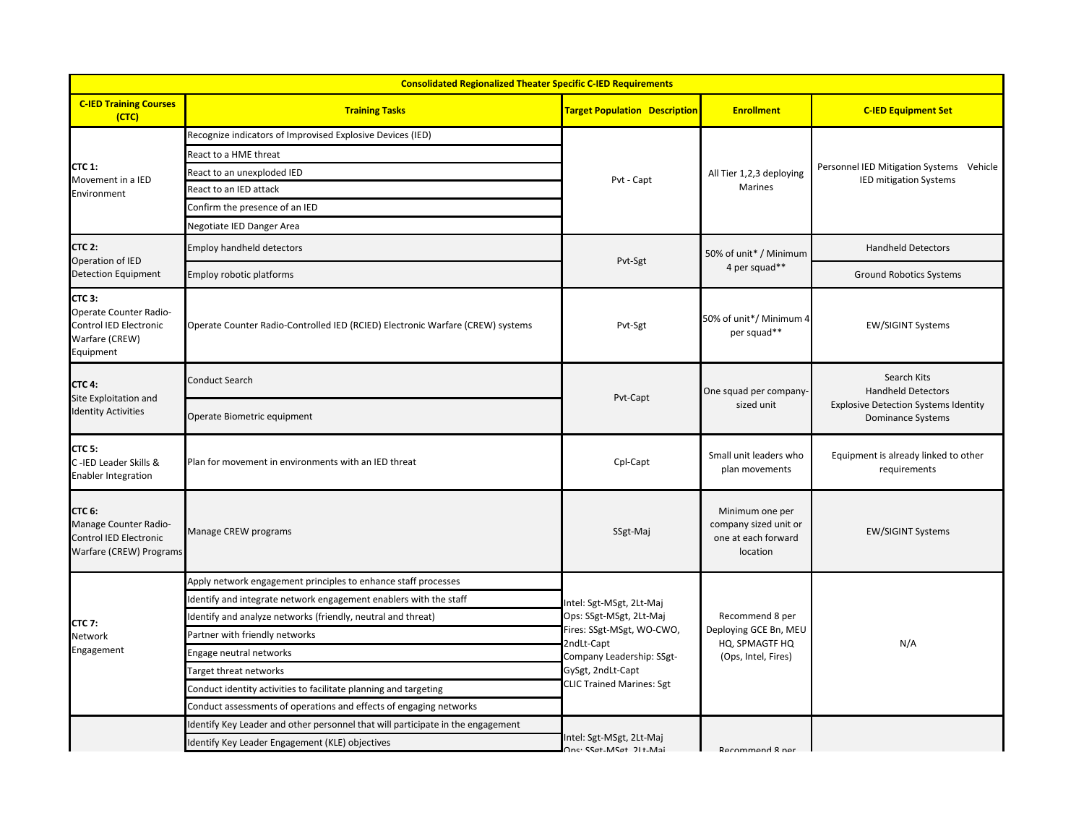| <b>C-IED Training Courses</b><br><b>Training Tasks</b><br><b>Target Population Description</b><br><b>Enrollment</b><br><b>C-IED Equipment Set</b><br>(CTC)<br>Recognize indicators of Improvised Explosive Devices (IED)<br>React to a HME threat<br><b>CTC 1:</b><br>Personnel IED Mitigation Systems Vehicle<br>React to an unexploded IED<br>All Tier 1,2,3 deploying<br>Movement in a IED<br>Pvt - Capt<br><b>IED mitigation Systems</b><br>Marines<br>React to an IED attack<br>Environment<br>Confirm the presence of an IED<br>Negotiate IED Danger Area<br><b>CTC 2:</b><br>Employ handheld detectors<br><b>Handheld Detectors</b><br>50% of unit* / Minimum<br>Operation of IED<br>Pvt-Sgt<br>4 per squad**<br><b>Detection Equipment</b><br>Employ robotic platforms<br><b>Ground Robotics Systems</b><br><b>CTC 3:</b><br>Operate Counter Radio-<br>50% of unit*/ Minimum 4<br>Control IED Electronic<br>Operate Counter Radio-Controlled IED (RCIED) Electronic Warfare (CREW) systems<br>Pvt-Sgt<br><b>EW/SIGINT Systems</b><br>per squad**<br>Warfare (CREW)<br>Equipment<br>Search Kits<br><b>Conduct Search</b><br><b>CTC 4:</b><br><b>Handheld Detectors</b><br>One squad per company-<br>Site Exploitation and<br>Pvt-Capt<br><b>Explosive Detection Systems Identity</b><br>sized unit<br><b>Identity Activities</b><br>Operate Biometric equipment<br>Dominance Systems<br>CTC <sub>5:</sub><br>Small unit leaders who<br>Equipment is already linked to other<br>C-IED Leader Skills &<br>Cpl-Capt<br>Plan for movement in environments with an IED threat<br>plan movements<br>requirements<br><b>Enabler Integration</b><br><b>CTC 6:</b><br>Minimum one per<br>Manage Counter Radio-<br>company sized unit or<br>Manage CREW programs<br>SSgt-Maj<br><b>EW/SIGINT Systems</b><br>Control IED Electronic<br>one at each forward<br>Warfare (CREW) Programs<br>location<br>Apply network engagement principles to enhance staff processes<br>Identify and integrate network engagement enablers with the staff<br>Intel: Sgt-MSgt, 2Lt-Maj<br>Ops: SSgt-MSgt, 2Lt-Maj<br>Recommend 8 per<br>Identify and analyze networks (friendly, neutral and threat)<br><b>CTC 7:</b><br>Fires: SSgt-MSgt, WO-CWO,<br>Deploying GCE Bn, MEU<br>Partner with friendly networks<br>Network<br>2ndLt-Capt<br>HQ, SPMAGTF HQ<br>N/A<br>Engagement | <b>Consolidated Regionalized Theater Specific C-IED Requirements</b> |                         |                                                                                    |                     |  |  |  |  |
|---------------------------------------------------------------------------------------------------------------------------------------------------------------------------------------------------------------------------------------------------------------------------------------------------------------------------------------------------------------------------------------------------------------------------------------------------------------------------------------------------------------------------------------------------------------------------------------------------------------------------------------------------------------------------------------------------------------------------------------------------------------------------------------------------------------------------------------------------------------------------------------------------------------------------------------------------------------------------------------------------------------------------------------------------------------------------------------------------------------------------------------------------------------------------------------------------------------------------------------------------------------------------------------------------------------------------------------------------------------------------------------------------------------------------------------------------------------------------------------------------------------------------------------------------------------------------------------------------------------------------------------------------------------------------------------------------------------------------------------------------------------------------------------------------------------------------------------------------------------------------------------------------------------------------------------------------------------------------------------------------------------------------------------------------------------------------------------------------------------------------------------------------------------------------------------------------------------------------------------------------------------------------------------------------------------------------------------------------------|----------------------------------------------------------------------|-------------------------|------------------------------------------------------------------------------------|---------------------|--|--|--|--|
|                                                                                                                                                                                                                                                                                                                                                                                                                                                                                                                                                                                                                                                                                                                                                                                                                                                                                                                                                                                                                                                                                                                                                                                                                                                                                                                                                                                                                                                                                                                                                                                                                                                                                                                                                                                                                                                                                                                                                                                                                                                                                                                                                                                                                                                                                                                                                         |                                                                      |                         |                                                                                    |                     |  |  |  |  |
|                                                                                                                                                                                                                                                                                                                                                                                                                                                                                                                                                                                                                                                                                                                                                                                                                                                                                                                                                                                                                                                                                                                                                                                                                                                                                                                                                                                                                                                                                                                                                                                                                                                                                                                                                                                                                                                                                                                                                                                                                                                                                                                                                                                                                                                                                                                                                         |                                                                      |                         |                                                                                    |                     |  |  |  |  |
|                                                                                                                                                                                                                                                                                                                                                                                                                                                                                                                                                                                                                                                                                                                                                                                                                                                                                                                                                                                                                                                                                                                                                                                                                                                                                                                                                                                                                                                                                                                                                                                                                                                                                                                                                                                                                                                                                                                                                                                                                                                                                                                                                                                                                                                                                                                                                         |                                                                      |                         |                                                                                    |                     |  |  |  |  |
|                                                                                                                                                                                                                                                                                                                                                                                                                                                                                                                                                                                                                                                                                                                                                                                                                                                                                                                                                                                                                                                                                                                                                                                                                                                                                                                                                                                                                                                                                                                                                                                                                                                                                                                                                                                                                                                                                                                                                                                                                                                                                                                                                                                                                                                                                                                                                         |                                                                      |                         |                                                                                    |                     |  |  |  |  |
|                                                                                                                                                                                                                                                                                                                                                                                                                                                                                                                                                                                                                                                                                                                                                                                                                                                                                                                                                                                                                                                                                                                                                                                                                                                                                                                                                                                                                                                                                                                                                                                                                                                                                                                                                                                                                                                                                                                                                                                                                                                                                                                                                                                                                                                                                                                                                         |                                                                      |                         |                                                                                    |                     |  |  |  |  |
|                                                                                                                                                                                                                                                                                                                                                                                                                                                                                                                                                                                                                                                                                                                                                                                                                                                                                                                                                                                                                                                                                                                                                                                                                                                                                                                                                                                                                                                                                                                                                                                                                                                                                                                                                                                                                                                                                                                                                                                                                                                                                                                                                                                                                                                                                                                                                         |                                                                      |                         |                                                                                    |                     |  |  |  |  |
|                                                                                                                                                                                                                                                                                                                                                                                                                                                                                                                                                                                                                                                                                                                                                                                                                                                                                                                                                                                                                                                                                                                                                                                                                                                                                                                                                                                                                                                                                                                                                                                                                                                                                                                                                                                                                                                                                                                                                                                                                                                                                                                                                                                                                                                                                                                                                         |                                                                      |                         |                                                                                    |                     |  |  |  |  |
|                                                                                                                                                                                                                                                                                                                                                                                                                                                                                                                                                                                                                                                                                                                                                                                                                                                                                                                                                                                                                                                                                                                                                                                                                                                                                                                                                                                                                                                                                                                                                                                                                                                                                                                                                                                                                                                                                                                                                                                                                                                                                                                                                                                                                                                                                                                                                         |                                                                      |                         |                                                                                    |                     |  |  |  |  |
|                                                                                                                                                                                                                                                                                                                                                                                                                                                                                                                                                                                                                                                                                                                                                                                                                                                                                                                                                                                                                                                                                                                                                                                                                                                                                                                                                                                                                                                                                                                                                                                                                                                                                                                                                                                                                                                                                                                                                                                                                                                                                                                                                                                                                                                                                                                                                         |                                                                      |                         |                                                                                    |                     |  |  |  |  |
|                                                                                                                                                                                                                                                                                                                                                                                                                                                                                                                                                                                                                                                                                                                                                                                                                                                                                                                                                                                                                                                                                                                                                                                                                                                                                                                                                                                                                                                                                                                                                                                                                                                                                                                                                                                                                                                                                                                                                                                                                                                                                                                                                                                                                                                                                                                                                         |                                                                      |                         |                                                                                    |                     |  |  |  |  |
|                                                                                                                                                                                                                                                                                                                                                                                                                                                                                                                                                                                                                                                                                                                                                                                                                                                                                                                                                                                                                                                                                                                                                                                                                                                                                                                                                                                                                                                                                                                                                                                                                                                                                                                                                                                                                                                                                                                                                                                                                                                                                                                                                                                                                                                                                                                                                         |                                                                      |                         |                                                                                    |                     |  |  |  |  |
|                                                                                                                                                                                                                                                                                                                                                                                                                                                                                                                                                                                                                                                                                                                                                                                                                                                                                                                                                                                                                                                                                                                                                                                                                                                                                                                                                                                                                                                                                                                                                                                                                                                                                                                                                                                                                                                                                                                                                                                                                                                                                                                                                                                                                                                                                                                                                         |                                                                      |                         |                                                                                    |                     |  |  |  |  |
|                                                                                                                                                                                                                                                                                                                                                                                                                                                                                                                                                                                                                                                                                                                                                                                                                                                                                                                                                                                                                                                                                                                                                                                                                                                                                                                                                                                                                                                                                                                                                                                                                                                                                                                                                                                                                                                                                                                                                                                                                                                                                                                                                                                                                                                                                                                                                         |                                                                      |                         |                                                                                    |                     |  |  |  |  |
|                                                                                                                                                                                                                                                                                                                                                                                                                                                                                                                                                                                                                                                                                                                                                                                                                                                                                                                                                                                                                                                                                                                                                                                                                                                                                                                                                                                                                                                                                                                                                                                                                                                                                                                                                                                                                                                                                                                                                                                                                                                                                                                                                                                                                                                                                                                                                         |                                                                      |                         |                                                                                    |                     |  |  |  |  |
|                                                                                                                                                                                                                                                                                                                                                                                                                                                                                                                                                                                                                                                                                                                                                                                                                                                                                                                                                                                                                                                                                                                                                                                                                                                                                                                                                                                                                                                                                                                                                                                                                                                                                                                                                                                                                                                                                                                                                                                                                                                                                                                                                                                                                                                                                                                                                         |                                                                      |                         | Company Leadership: SSgt-<br>GySgt, 2ndLt-Capt<br><b>CLIC Trained Marines: Sgt</b> | (Ops, Intel, Fires) |  |  |  |  |
|                                                                                                                                                                                                                                                                                                                                                                                                                                                                                                                                                                                                                                                                                                                                                                                                                                                                                                                                                                                                                                                                                                                                                                                                                                                                                                                                                                                                                                                                                                                                                                                                                                                                                                                                                                                                                                                                                                                                                                                                                                                                                                                                                                                                                                                                                                                                                         |                                                                      |                         |                                                                                    |                     |  |  |  |  |
|                                                                                                                                                                                                                                                                                                                                                                                                                                                                                                                                                                                                                                                                                                                                                                                                                                                                                                                                                                                                                                                                                                                                                                                                                                                                                                                                                                                                                                                                                                                                                                                                                                                                                                                                                                                                                                                                                                                                                                                                                                                                                                                                                                                                                                                                                                                                                         |                                                                      |                         |                                                                                    |                     |  |  |  |  |
|                                                                                                                                                                                                                                                                                                                                                                                                                                                                                                                                                                                                                                                                                                                                                                                                                                                                                                                                                                                                                                                                                                                                                                                                                                                                                                                                                                                                                                                                                                                                                                                                                                                                                                                                                                                                                                                                                                                                                                                                                                                                                                                                                                                                                                                                                                                                                         |                                                                      |                         |                                                                                    |                     |  |  |  |  |
|                                                                                                                                                                                                                                                                                                                                                                                                                                                                                                                                                                                                                                                                                                                                                                                                                                                                                                                                                                                                                                                                                                                                                                                                                                                                                                                                                                                                                                                                                                                                                                                                                                                                                                                                                                                                                                                                                                                                                                                                                                                                                                                                                                                                                                                                                                                                                         |                                                                      | Engage neutral networks |                                                                                    |                     |  |  |  |  |
| Target threat networks                                                                                                                                                                                                                                                                                                                                                                                                                                                                                                                                                                                                                                                                                                                                                                                                                                                                                                                                                                                                                                                                                                                                                                                                                                                                                                                                                                                                                                                                                                                                                                                                                                                                                                                                                                                                                                                                                                                                                                                                                                                                                                                                                                                                                                                                                                                                  |                                                                      |                         |                                                                                    |                     |  |  |  |  |
| Conduct identity activities to facilitate planning and targeting                                                                                                                                                                                                                                                                                                                                                                                                                                                                                                                                                                                                                                                                                                                                                                                                                                                                                                                                                                                                                                                                                                                                                                                                                                                                                                                                                                                                                                                                                                                                                                                                                                                                                                                                                                                                                                                                                                                                                                                                                                                                                                                                                                                                                                                                                        |                                                                      |                         |                                                                                    |                     |  |  |  |  |
| Conduct assessments of operations and effects of engaging networks                                                                                                                                                                                                                                                                                                                                                                                                                                                                                                                                                                                                                                                                                                                                                                                                                                                                                                                                                                                                                                                                                                                                                                                                                                                                                                                                                                                                                                                                                                                                                                                                                                                                                                                                                                                                                                                                                                                                                                                                                                                                                                                                                                                                                                                                                      |                                                                      |                         |                                                                                    |                     |  |  |  |  |
| Identify Key Leader and other personnel that will participate in the engagement                                                                                                                                                                                                                                                                                                                                                                                                                                                                                                                                                                                                                                                                                                                                                                                                                                                                                                                                                                                                                                                                                                                                                                                                                                                                                                                                                                                                                                                                                                                                                                                                                                                                                                                                                                                                                                                                                                                                                                                                                                                                                                                                                                                                                                                                         |                                                                      |                         | Intel: Sgt-MSgt, 2Lt-Maj                                                           |                     |  |  |  |  |
| Identify Key Leader Engagement (KLE) objectives<br>One: SSat-MSat 21t-Mai<br>Recommend & ner                                                                                                                                                                                                                                                                                                                                                                                                                                                                                                                                                                                                                                                                                                                                                                                                                                                                                                                                                                                                                                                                                                                                                                                                                                                                                                                                                                                                                                                                                                                                                                                                                                                                                                                                                                                                                                                                                                                                                                                                                                                                                                                                                                                                                                                            |                                                                      |                         |                                                                                    |                     |  |  |  |  |